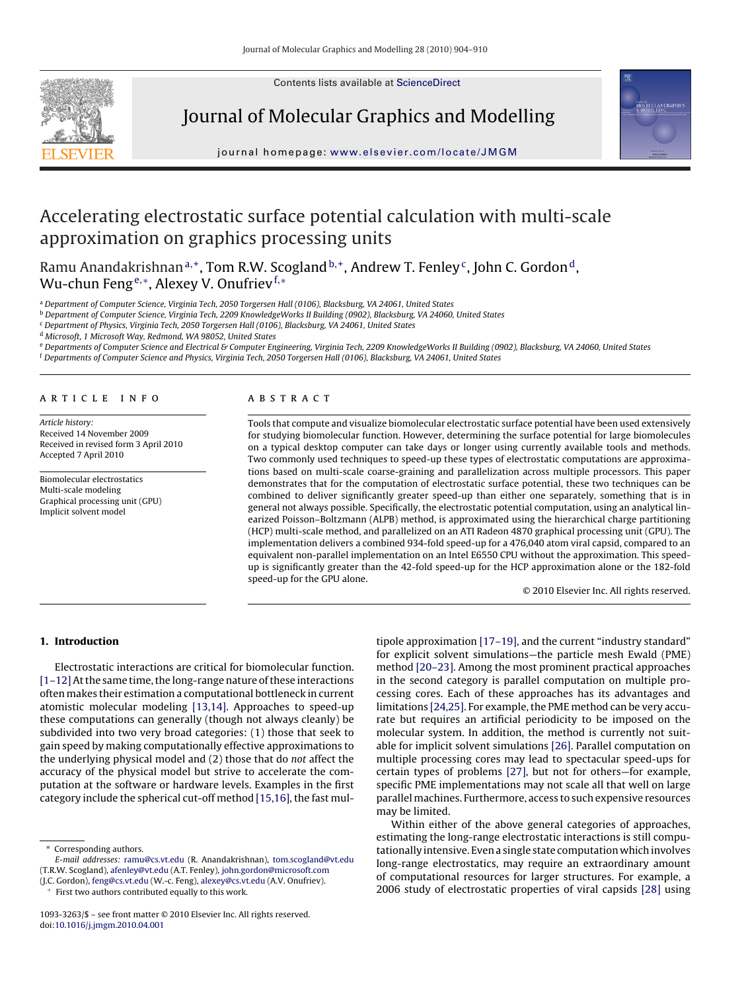Contents lists available at [ScienceDirect](http://www.sciencedirect.com/science/journal/10933263)



Journal of Molecular Graphics and Modelling



journal homepage: [www.elsevier.com/locate/JMGM](http://www.elsevier.com/locate/JMGM)

# Accelerating electrostatic surface potential calculation with multi-scale approximation on graphics processing units

Ramu Anandakrishnan<sup>a,+</sup>, Tom R.W. Scogland<sup>b,+</sup>, Andrew T. Fenley<sup>c</sup>, John C. Gordon<sup>d</sup>, Wu-chun Feng<sup>e,∗</sup>, Alexey V. Onufriev<sup>f,∗</sup>

<sup>a</sup> Department of Computer Science, Virginia Tech, 2050 Torgersen Hall (0106), Blacksburg, VA 24061, United States

<sup>b</sup> Department of Computer Science, Virginia Tech, 2209 KnowledgeWorks II Building (0902), Blacksburg, VA 24060, United States

<sup>c</sup> Department of Physics, Virginia Tech, 2050 Torgersen Hall (0106), Blacksburg, VA 24061, United States

<sup>d</sup> Microsoft, 1 Microsoft Way, Redmond, WA 98052, United States

e Departments of Computer Science and Electrical & Computer Engineering, Virginia Tech, 2209 KnowledgeWorks II Building (0902), Blacksburg, VA 24060, United States

<sup>f</sup> Departments of Computer Science and Physics, Virginia Tech, 2050 Torgersen Hall (0106), Blacksburg, VA 24061, United States

#### article info

Article history: Received 14 November 2009 Received in revised form 3 April 2010 Accepted 7 April 2010

Biomolecular electrostatics Multi-scale modeling Graphical processing unit (GPU) Implicit solvent model

### **ABSTRACT**

Tools that compute and visualize biomolecular electrostatic surface potential have been used extensively for studying biomolecular function. However, determining the surface potential for large biomolecules on a typical desktop computer can take days or longer using currently available tools and methods. Two commonly used techniques to speed-up these types of electrostatic computations are approximations based on multi-scale coarse-graining and parallelization across multiple processors. This paper demonstrates that for the computation of electrostatic surface potential, these two techniques can be combined to deliver significantly greater speed-up than either one separately, something that is in general not always possible. Specifically, the electrostatic potential computation, using an analytical linearized Poisson–Boltzmann (ALPB) method, is approximated using the hierarchical charge partitioning (HCP) multi-scale method, and parallelized on an ATI Radeon 4870 graphical processing unit (GPU). The implementation delivers a combined 934-fold speed-up for a 476,040 atom viral capsid, compared to an equivalent non-parallel implementation on an Intel E6550 CPU without the approximation. This speedup is significantly greater than the 42-fold speed-up for the HCP approximation alone or the 182-fold speed-up for the GPU alone.

© 2010 Elsevier Inc. All rights reserved.

## **1. Introduction**

Electrostatic interactions are critical for biomolecular function. [\[1–12\]A](#page-5-0)t the same time, the long-range nature of these interactions often makes their estimation a computational bottleneck in current atomistic molecular modeling [\[13,14\].](#page-5-0) Approaches to speed-up these computations can generally (though not always cleanly) be subdivided into two very broad categories: (1) those that seek to gain speed by making computationally effective approximations to the underlying physical model and (2) those that do not affect the accuracy of the physical model but strive to accelerate the computation at the software or hardware levels. Examples in the first category include the spherical cut-off method [\[15,16\], t](#page-5-0)he fast mul-

(J.C. Gordon), [feng@cs.vt.edu](mailto:feng@cs.vt.edu) (W.-c. Feng), [alexey@cs.vt.edu](mailto:alexey@cs.vt.edu) (A.V. Onufriev).

First two authors contributed equally to this work.

tipole approximation [\[17–19\], a](#page-5-0)nd the current "industry standard" for explicit solvent simulations—the particle mesh Ewald (PME) method [\[20–23\]. A](#page-5-0)mong the most prominent practical approaches in the second category is parallel computation on multiple processing cores. Each of these approaches has its advantages and limitations [\[24,25\]. F](#page-5-0)or example, the PME method can be very accurate but requires an artificial periodicity to be imposed on the molecular system. In addition, the method is currently not suitable for implicit solvent simulations [\[26\]. P](#page-5-0)arallel computation on multiple processing cores may lead to spectacular speed-ups for certain types of problems [\[27\],](#page-5-0) but not for others—for example, specific PME implementations may not scale all that well on large parallel machines. Furthermore, access to such expensive resources may be limited.

Within either of the above general categories of approaches, estimating the long-range electrostatic interactions is still computationally intensive. Even a single state computation which involves long-range electrostatics, may require an extraordinary amount of computational resources for larger structures. For example, a 2006 study of electrostatic properties of viral capsids [\[28\]](#page-5-0) using

<sup>∗</sup> Corresponding authors. E-mail addresses: [ramu@cs.vt.edu](mailto:ramu@cs.vt.edu) (R. Anandakrishnan), [tom.scogland@vt.edu](mailto:tom.scogland@vt.edu) (T.R.W. Scogland), [afenley@vt.edu](mailto:afenley@vt.edu) (A.T. Fenley), [john.gordon@microsoft.com](mailto:john.gordon@microsoft.com)

<sup>1093-3263/\$ –</sup> see front matter © 2010 Elsevier Inc. All rights reserved. doi:[10.1016/j.jmgm.2010.04.001](dx.doi.org/10.1016/j.jmgm.2010.04.001)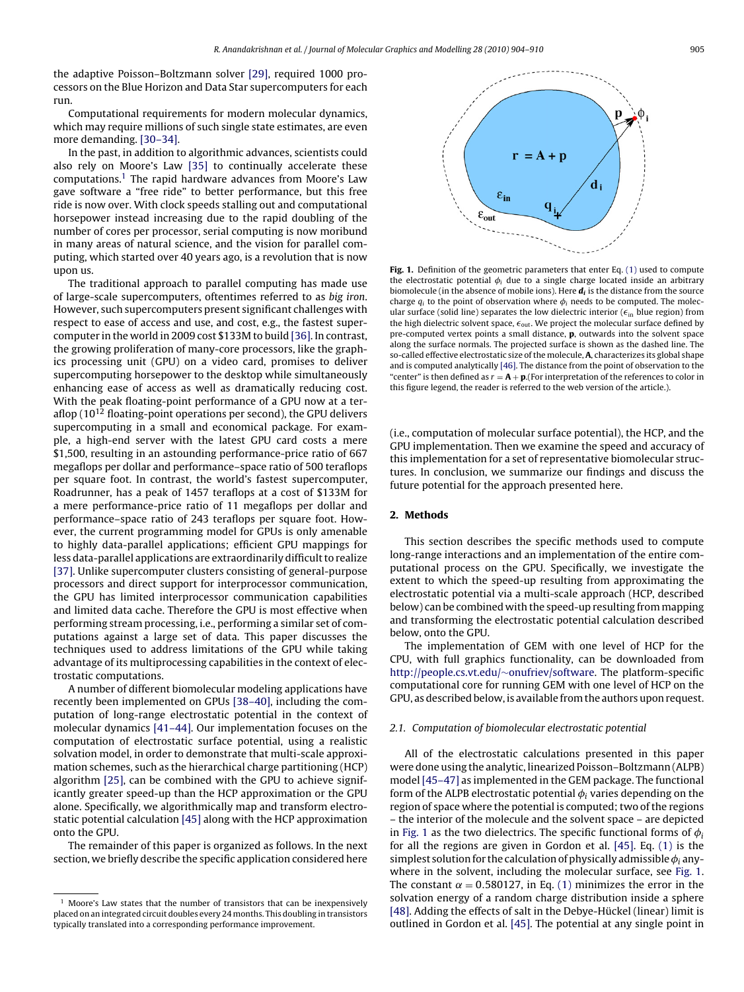<span id="page-1-0"></span>the adaptive Poisson–Boltzmann solver [\[29\], r](#page-5-0)equired 1000 processors on the Blue Horizon and Data Star supercomputers for each run.

Computational requirements for modern molecular dynamics, which may require millions of such single state estimates, are even more demanding. [\[30–34\].](#page-5-0)

In the past, in addition to algorithmic advances, scientists could also rely on Moore's Law [\[35\]](#page-6-0) to continually accelerate these computations.1 The rapid hardware advances from Moore's Law gave software a "free ride" to better performance, but this free ride is now over. With clock speeds stalling out and computational horsepower instead increasing due to the rapid doubling of the number of cores per processor, serial computing is now moribund in many areas of natural science, and the vision for parallel computing, which started over 40 years ago, is a revolution that is now upon us.

The traditional approach to parallel computing has made use of large-scale supercomputers, oftentimes referred to as big iron. However, such supercomputers present significant challenges with respect to ease of access and use, and cost, e.g., the fastest supercomputer in the world in 2009 cost \$133M to build [\[36\]. I](#page-6-0)n contrast, the growing proliferation of many-core processors, like the graphics processing unit (GPU) on a video card, promises to deliver supercomputing horsepower to the desktop while simultaneously enhancing ease of access as well as dramatically reducing cost. With the peak floating-point performance of a GPU now at a teraflop  $(10^{12}$  floating-point operations per second), the GPU delivers supercomputing in a small and economical package. For example, a high-end server with the latest GPU card costs a mere \$1,500, resulting in an astounding performance-price ratio of 667 megaflops per dollar and performance–space ratio of 500 teraflops per square foot. In contrast, the world's fastest supercomputer, Roadrunner, has a peak of 1457 teraflops at a cost of \$133M for a mere performance-price ratio of 11 megaflops per dollar and performance–space ratio of 243 teraflops per square foot. However, the current programming model for GPUs is only amenable to highly data-parallel applications; efficient GPU mappings for less data-parallel applications are extraordinarily difficult to realize [\[37\]. U](#page-6-0)nlike supercomputer clusters consisting of general-purpose processors and direct support for interprocessor communication, the GPU has limited interprocessor communication capabilities and limited data cache. Therefore the GPU is most effective when performing stream processing, i.e., performing a similar set of computations against a large set of data. This paper discusses the techniques used to address limitations of the GPU while taking advantage of its multiprocessing capabilities in the context of electrostatic computations.

A number of different biomolecular modeling applications have recently been implemented on GPUs [\[38–40\], i](#page-6-0)ncluding the computation of long-range electrostatic potential in the context of molecular dynamics [\[41–44\]. O](#page-6-0)ur implementation focuses on the computation of electrostatic surface potential, using a realistic solvation model, in order to demonstrate that multi-scale approximation schemes, such as the hierarchical charge partitioning (HCP) algorithm [\[25\], c](#page-5-0)an be combined with the GPU to achieve significantly greater speed-up than the HCP approximation or the GPU alone. Specifically, we algorithmically map and transform electrostatic potential calculation [\[45\]](#page-6-0) along with the HCP approximation onto the GPU.

The remainder of this paper is organized as follows. In the next section, we briefly describe the specific application considered here



**Fig. 1.** Definition of the geometric parameters that enter Eq. [\(1\)](#page-2-0) used to compute the electrostatic potential  $\phi_i$  due to a single charge located inside an arbitrary biomolecule (in the absence of mobile ions). Here  $\mathbf{d}_i$  is the distance from the source charge  $q_i$  to the point of observation where  $\phi_i$  needs to be computed. The molecular surface (solid line) separates the low dielectric interior ( $\epsilon_{\text{in}}$  blue region) from the high dielectric solvent space,  $\epsilon_{\text{out}}$ . We project the molecular surface defined by pre-computed vertex points a small distance, **p**, outwards into the solvent space along the surface normals. The projected surface is shown as the dashed line. The so-called effective electrostatic size of the molecule, **A**, characterizes its global shape and is computed analytically [\[46\]. T](#page-6-0)he distance from the point of observation to the "center" is then defined as  $r = A + p$ . (For interpretation of the references to color in this figure legend, the reader is referred to the web version of the article.).

(i.e., computation of molecular surface potential), the HCP, and the GPU implementation. Then we examine the speed and accuracy of this implementation for a set of representative biomolecular structures. In conclusion, we summarize our findings and discuss the future potential for the approach presented here.

## **2. Methods**

This section describes the specific methods used to compute long-range interactions and an implementation of the entire computational process on the GPU. Specifically, we investigate the extent to which the speed-up resulting from approximating the electrostatic potential via a multi-scale approach (HCP, described below) can be combined with the speed-up resulting from mapping and transforming the electrostatic potential calculation described below, onto the GPU.

The implementation of GEM with one level of HCP for the CPU, with full graphics functionality, can be downloaded from [http://people.cs.vt.edu/](http://people.cs.vt.edu/~onufriev/software)∼onufriev/software. The platform-specific computational core for running GEM with one level of HCP on the GPU, as described below, is available from the authors upon request.

#### 2.1. Computation of biomolecular electrostatic potential

All of the electrostatic calculations presented in this paper were done using the analytic, linearized Poisson–Boltzmann (ALPB) model [\[45–47\]](#page-6-0) as implemented in the GEM package. The functional form of the ALPB electrostatic potential  $\phi_i$  varies depending on the region of space where the potential is computed; two of the regions – the interior of the molecule and the solvent space – are depicted in Fig. 1 as the two dielectrics. The specific functional forms of  $\phi_i$ for all the regions are given in Gordon et al. [\[45\].](#page-6-0) Eq. [\(1\)](#page-2-0) is the simplest solution for the calculation of physically admissible  $\phi_i$  anywhere in the solvent, including the molecular surface, see Fig. 1. The constant  $\alpha = 0.580127$ , in Eq. [\(1\)](#page-2-0) minimizes the error in the solvation energy of a random charge distribution inside a sphere [\[48\]. A](#page-6-0)dding the effects of salt in the Debye-Hückel (linear) limit is outlined in Gordon et al. [\[45\]. T](#page-6-0)he potential at any single point in

 $<sup>1</sup>$  Moore's Law states that the number of transistors that can be inexpensively</sup> placed on an integrated circuit doubles every 24 months. This doubling in transistors typically translated into a corresponding performance improvement.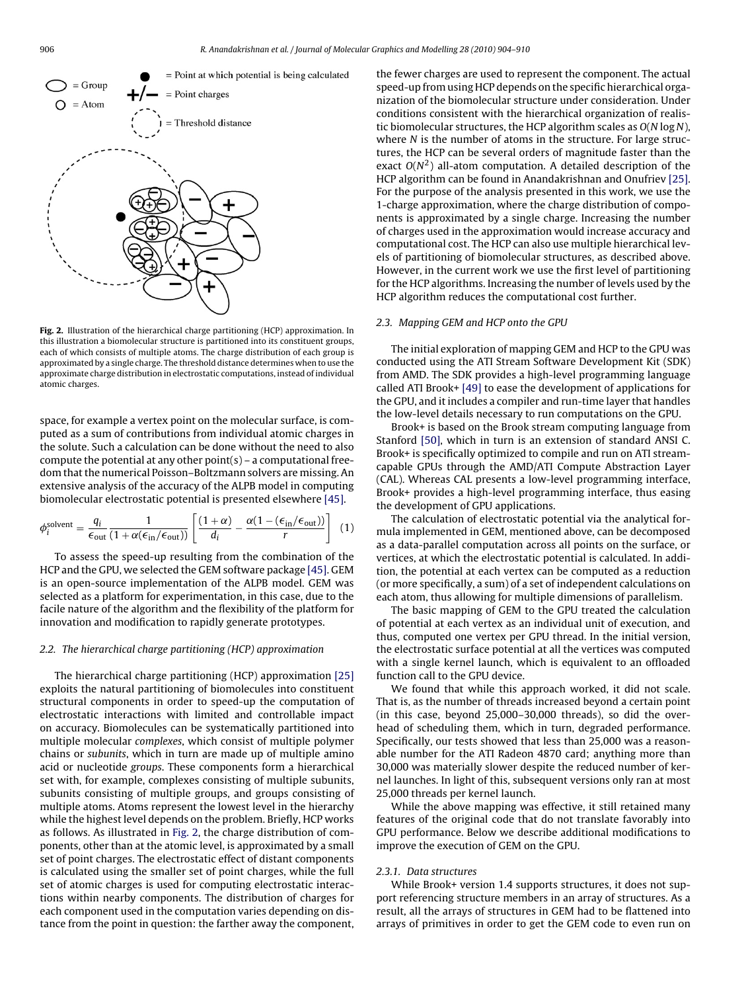<span id="page-2-0"></span>

**Fig. 2.** Illustration of the hierarchical charge partitioning (HCP) approximation. In this illustration a biomolecular structure is partitioned into its constituent groups, each of which consists of multiple atoms. The charge distribution of each group is approximated by a single charge. The threshold distance determines when to use the approximate charge distribution in electrostatic computations, instead of individual atomic charges.

space, for example a vertex point on the molecular surface, is computed as a sum of contributions from individual atomic charges in the solute. Such a calculation can be done without the need to also compute the potential at any other  $point(s)$  – a computational freedom that the numerical Poisson–Boltzmann solvers are missing. An extensive analysis of the accuracy of the ALPB model in computing biomolecular electrostatic potential is presented elsewhere [\[45\].](#page-6-0)

$$
\phi_i^{\text{solvent}} = \frac{q_i}{\epsilon_{\text{out}}} \frac{1}{(1 + \alpha(\epsilon_{\text{in}}/\epsilon_{\text{out}}))} \left[ \frac{(1 + \alpha)}{d_i} - \frac{\alpha(1 - (\epsilon_{\text{in}}/\epsilon_{\text{out}}))}{r} \right] \tag{1}
$$

To assess the speed-up resulting from the combination of the HCP and the GPU, we selected the GEM software package [\[45\]. G](#page-6-0)EM is an open-source implementation of the ALPB model. GEM was selected as a platform for experimentation, in this case, due to the facile nature of the algorithm and the flexibility of the platform for innovation and modification to rapidly generate prototypes.

## 2.2. The hierarchical charge partitioning (HCP) approximation

The hierarchical charge partitioning (HCP) approximation [\[25\]](#page-5-0) exploits the natural partitioning of biomolecules into constituent structural components in order to speed-up the computation of electrostatic interactions with limited and controllable impact on accuracy. Biomolecules can be systematically partitioned into multiple molecular complexes, which consist of multiple polymer chains or subunits, which in turn are made up of multiple amino acid or nucleotide groups. These components form a hierarchical set with, for example, complexes consisting of multiple subunits, subunits consisting of multiple groups, and groups consisting of multiple atoms. Atoms represent the lowest level in the hierarchy while the highest level depends on the problem. Briefly, HCP works as follows. As illustrated in Fig. 2, the charge distribution of components, other than at the atomic level, is approximated by a small set of point charges. The electrostatic effect of distant components is calculated using the smaller set of point charges, while the full set of atomic charges is used for computing electrostatic interactions within nearby components. The distribution of charges for each component used in the computation varies depending on distance from the point in question: the farther away the component,

the fewer charges are used to represent the component. The actual speed-up from using HCP depends on the specific hierarchical organization of the biomolecular structure under consideration. Under conditions consistent with the hierarchical organization of realistic biomolecular structures, the HCP algorithm scales as  $O(N \log N)$ , where N is the number of atoms in the structure. For large structures, the HCP can be several orders of magnitude faster than the exact  $O(N^2)$  all-atom computation. A detailed description of the HCP algorithm can be found in Anandakrishnan and Onufriev [\[25\].](#page-5-0) For the purpose of the analysis presented in this work, we use the 1-charge approximation, where the charge distribution of components is approximated by a single charge. Increasing the number of charges used in the approximation would increase accuracy and computational cost. The HCP can also use multiple hierarchical levels of partitioning of biomolecular structures, as described above. However, in the current work we use the first level of partitioning for the HCP algorithms. Increasing the number of levels used by the HCP algorithm reduces the computational cost further.

#### 2.3. Mapping GEM and HCP onto the GPU

The initial exploration of mapping GEM and HCP to the GPU was conducted using the ATI Stream Software Development Kit (SDK) from AMD. The SDK provides a high-level programming language called ATI Brook+ [\[49\]](#page-6-0) to ease the development of applications for the GPU, and it includes a compiler and run-time layer that handles the low-level details necessary to run computations on the GPU.

Brook+ is based on the Brook stream computing language from Stanford [\[50\], w](#page-6-0)hich in turn is an extension of standard ANSI C. Brook+ is specifically optimized to compile and run on ATI streamcapable GPUs through the AMD/ATI Compute Abstraction Layer (CAL). Whereas CAL presents a low-level programming interface, Brook+ provides a high-level programming interface, thus easing the development of GPU applications.

The calculation of electrostatic potential via the analytical formula implemented in GEM, mentioned above, can be decomposed as a data-parallel computation across all points on the surface, or vertices, at which the electrostatic potential is calculated. In addition, the potential at each vertex can be computed as a reduction (or more specifically, a sum) of a set of independent calculations on each atom, thus allowing for multiple dimensions of parallelism.

The basic mapping of GEM to the GPU treated the calculation of potential at each vertex as an individual unit of execution, and thus, computed one vertex per GPU thread. In the initial version, the electrostatic surface potential at all the vertices was computed with a single kernel launch, which is equivalent to an offloaded function call to the GPU device.

We found that while this approach worked, it did not scale. That is, as the number of threads increased beyond a certain point (in this case, beyond 25,000–30,000 threads), so did the overhead of scheduling them, which in turn, degraded performance. Specifically, our tests showed that less than 25,000 was a reasonable number for the ATI Radeon 4870 card; anything more than 30,000 was materially slower despite the reduced number of kernel launches. In light of this, subsequent versions only ran at most 25,000 threads per kernel launch.

While the above mapping was effective, it still retained many features of the original code that do not translate favorably into GPU performance. Below we describe additional modifications to improve the execution of GEM on the GPU.

### 2.3.1. Data structures

While Brook+ version 1.4 supports structures, it does not support referencing structure members in an array of structures. As a result, all the arrays of structures in GEM had to be flattened into arrays of primitives in order to get the GEM code to even run on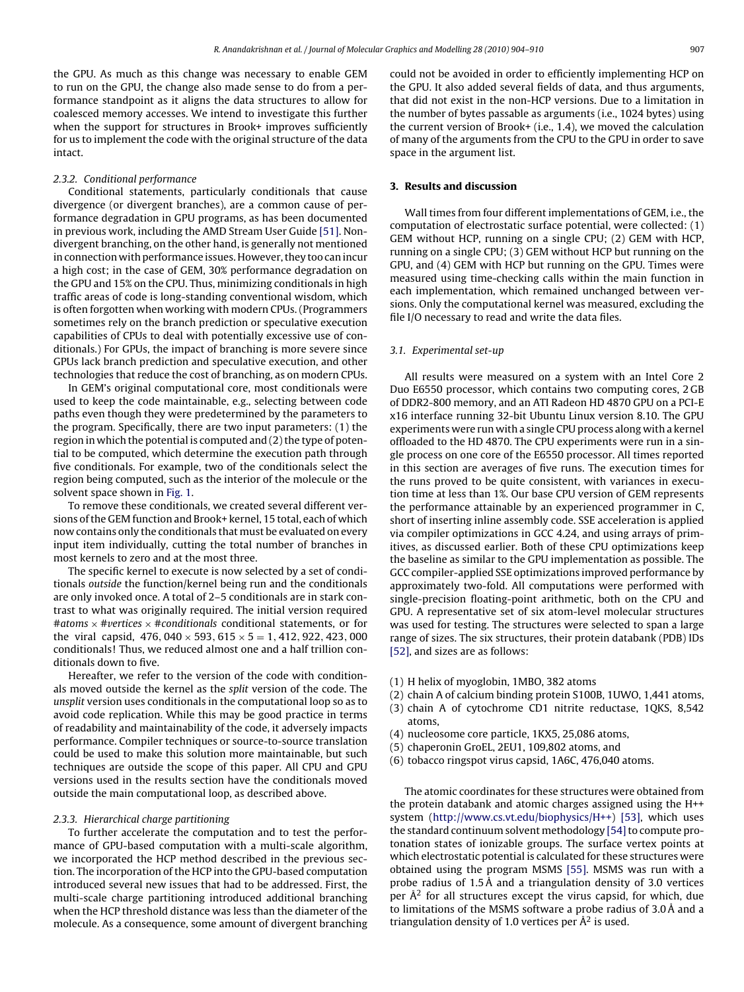the GPU. As much as this change was necessary to enable GEM to run on the GPU, the change also made sense to do from a performance standpoint as it aligns the data structures to allow for coalesced memory accesses. We intend to investigate this further when the support for structures in Brook+ improves sufficiently for us to implement the code with the original structure of the data intact.

### 2.3.2. Conditional performance

Conditional statements, particularly conditionals that cause divergence (or divergent branches), are a common cause of performance degradation in GPU programs, as has been documented in previous work, including the AMD Stream User Guide [\[51\]. N](#page-6-0)ondivergent branching, on the other hand, is generally not mentioned in connection with performance issues. However, they too can incur a high cost; in the case of GEM, 30% performance degradation on the GPU and 15% on the CPU. Thus, minimizing conditionals in high traffic areas of code is long-standing conventional wisdom, which is often forgotten when working with modern CPUs. (Programmers sometimes rely on the branch prediction or speculative execution capabilities of CPUs to deal with potentially excessive use of conditionals.) For GPUs, the impact of branching is more severe since GPUs lack branch prediction and speculative execution, and other technologies that reduce the cost of branching, as on modern CPUs.

In GEM's original computational core, most conditionals were used to keep the code maintainable, e.g., selecting between code paths even though they were predetermined by the parameters to the program. Specifically, there are two input parameters: (1) the region in which the potential is computed and (2) the type of potential to be computed, which determine the execution path through five conditionals. For example, two of the conditionals select the region being computed, such as the interior of the molecule or the solvent space shown in [Fig. 1.](#page-1-0)

To remove these conditionals, we created several different versions of the GEM function and Brook+ kernel, 15 total, each of which now contains only the conditionals that must be evaluated on every input item individually, cutting the total number of branches in most kernels to zero and at the most three.

The specific kernel to execute is now selected by a set of conditionals outside the function/kernel being run and the conditionals are only invoked once. A total of 2–5 conditionals are in stark contrast to what was originally required. The initial version required #atoms <sup>×</sup> #*v*ertices <sup>×</sup> #conditionals conditional statements, or for the viral capsid,  $476,040 \times 593,615 \times 5 = 1,412,922,423,000$ conditionals! Thus, we reduced almost one and a half trillion conditionals down to five.

Hereafter, we refer to the version of the code with conditionals moved outside the kernel as the split version of the code. The unsplit version uses conditionals in the computational loop so as to avoid code replication. While this may be good practice in terms of readability and maintainability of the code, it adversely impacts performance. Compiler techniques or source-to-source translation could be used to make this solution more maintainable, but such techniques are outside the scope of this paper. All CPU and GPU versions used in the results section have the conditionals moved outside the main computational loop, as described above.

#### 2.3.3. Hierarchical charge partitioning

To further accelerate the computation and to test the performance of GPU-based computation with a multi-scale algorithm, we incorporated the HCP method described in the previous section. The incorporation of the HCP into the GPU-based computation introduced several new issues that had to be addressed. First, the multi-scale charge partitioning introduced additional branching when the HCP threshold distance was less than the diameter of the molecule. As a consequence, some amount of divergent branching could not be avoided in order to efficiently implementing HCP on the GPU. It also added several fields of data, and thus arguments, that did not exist in the non-HCP versions. Due to a limitation in the number of bytes passable as arguments (i.e., 1024 bytes) using the current version of Brook+ (i.e., 1.4), we moved the calculation of many of the arguments from the CPU to the GPU in order to save space in the argument list.

#### **3. Results and discussion**

Wall times from four different implementations of GEM, i.e., the computation of electrostatic surface potential, were collected: (1) GEM without HCP, running on a single CPU; (2) GEM with HCP, running on a single CPU; (3) GEM without HCP but running on the GPU, and (4) GEM with HCP but running on the GPU. Times were measured using time-checking calls within the main function in each implementation, which remained unchanged between versions. Only the computational kernel was measured, excluding the file I/O necessary to read and write the data files.

#### 3.1. Experimental set-up

All results were measured on a system with an Intel Core 2 Duo E6550 processor, which contains two computing cores, 2 GB of DDR2-800 memory, and an ATI Radeon HD 4870 GPU on a PCI-E x16 interface running 32-bit Ubuntu Linux version 8.10. The GPU experiments were run with a single CPU process along with a kernel offloaded to the HD 4870. The CPU experiments were run in a single process on one core of the E6550 processor. All times reported in this section are averages of five runs. The execution times for the runs proved to be quite consistent, with variances in execution time at less than 1%. Our base CPU version of GEM represents the performance attainable by an experienced programmer in C, short of inserting inline assembly code. SSE acceleration is applied via compiler optimizations in GCC 4.24, and using arrays of primitives, as discussed earlier. Both of these CPU optimizations keep the baseline as similar to the GPU implementation as possible. The GCC compiler-applied SSE optimizations improved performance by approximately two-fold. All computations were performed with single-precision floating-point arithmetic, both on the CPU and GPU. A representative set of six atom-level molecular structures was used for testing. The structures were selected to span a large range of sizes. The six structures, their protein databank (PDB) IDs [\[52\], a](#page-6-0)nd sizes are as follows:

- (1) H helix of myoglobin, 1MBO, 382 atoms
- (2) chain A of calcium binding protein S100B, 1UWO, 1,441 atoms,
- (3) chain A of cytochrome CD1 nitrite reductase, 1QKS, 8,542 atoms,
- (4) nucleosome core particle, 1KX5, 25,086 atoms,
- (5) chaperonin GroEL, 2EU1, 109,802 atoms, and
- (6) tobacco ringspot virus capsid, 1A6C, 476,040 atoms.

The atomic coordinates for these structures were obtained from the protein databank and atomic charges assigned using the H++ system ([http://www.cs.vt.edu/biophysics/H++\)](http://www.cs.vt.edu/biophysics/H++) [\[53\],](#page-6-0) which uses the standard continuum solvent methodology [54] to compute protonation states of ionizable groups. The surface vertex points at which electrostatic potential is calculated for these structures were obtained using the program MSMS [\[55\].](#page-6-0) MSMS was run with a probe radius of 1.5 Å and a triangulation density of 3.0 vertices per  $\mathring{A}^2$  for all structures except the virus capsid, for which, due to limitations of the MSMS software a probe radius of 3.0 Å and a triangulation density of 1.0 vertices per  $\mathring{A}^2$  is used.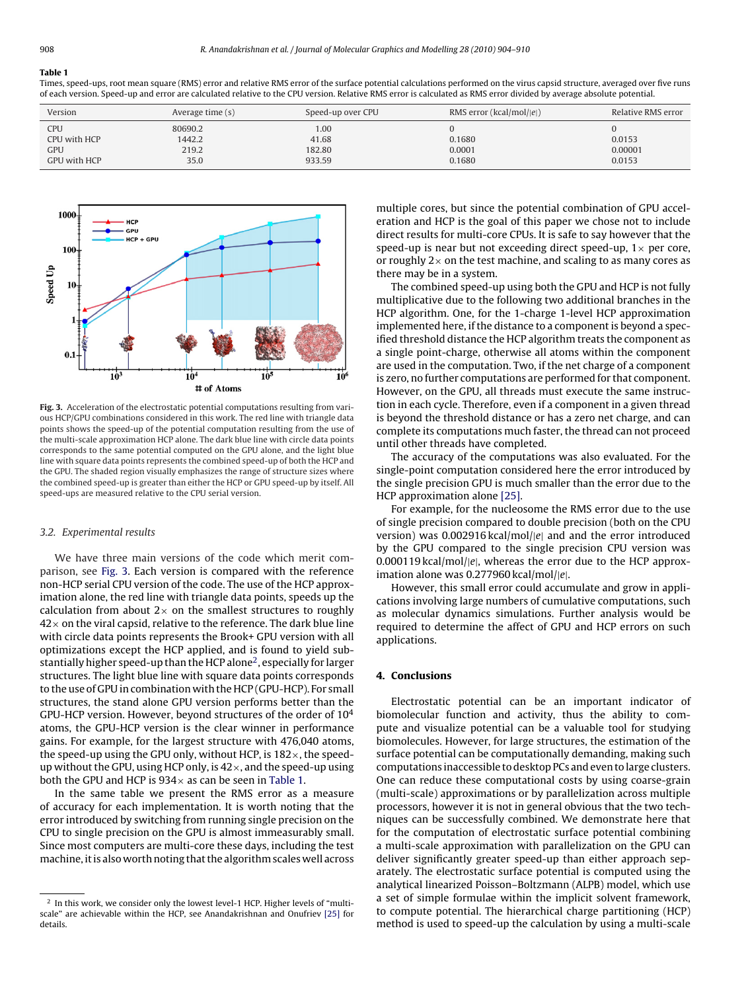#### **Table 1**

Times, speed-ups, root mean square (RMS) error and relative RMS error of the surface potential calculations performed on the virus capsid structure, averaged over five runs of each version. Speed-up and error are calculated relative to the CPU version. Relative RMS error is calculated as RMS error divided by average absolute potential.

| Version      | Average time (s) | Speed-up over CPU | RMS error ( $kcal/mol/ e $ ) | Relative RMS error |
|--------------|------------------|-------------------|------------------------------|--------------------|
| CPU          | 80690.2          | 1.00              |                              |                    |
| CPU with HCP | 1442.2           | 41.68             | 0.1680                       | 0.0153             |
| <b>GPU</b>   | 219.2            | 182.80            | 0.0001                       | 0.00001            |
| GPU with HCP | 35.0             | 933.59            | 0.1680                       | 0.0153             |



**Fig. 3.** Acceleration of the electrostatic potential computations resulting from various HCP/GPU combinations considered in this work. The red line with triangle data points shows the speed-up of the potential computation resulting from the use of the multi-scale approximation HCP alone. The dark blue line with circle data points corresponds to the same potential computed on the GPU alone, and the light blue line with square data points represents the combined speed-up of both the HCP and the GPU. The shaded region visually emphasizes the range of structure sizes where the combined speed-up is greater than either the HCP or GPU speed-up by itself. All speed-ups are measured relative to the CPU serial version.

#### 3.2. Experimental results

We have three main versions of the code which merit comparison, see Fig. 3. Each version is compared with the reference non-HCP serial CPU version of the code. The use of the HCP approximation alone, the red line with triangle data points, speeds up the calculation from about  $2 \times$  on the smallest structures to roughly  $42\times$  on the viral capsid, relative to the reference. The dark blue line with circle data points represents the Brook+ GPU version with all optimizations except the HCP applied, and is found to yield substantially higher speed-up than the HCP alone2, especially for larger structures. The light blue line with square data points corresponds to the use of GPU in combination with the HCP (GPU-HCP). For small structures, the stand alone GPU version performs better than the GPU-HCP version. However, beyond structures of the order of  $10<sup>4</sup>$ atoms, the GPU-HCP version is the clear winner in performance gains. For example, for the largest structure with 476,040 atoms, the speed-up using the GPU only, without HCP, is  $182\times$ , the speedup without the GPU, using HCP only, is  $42 \times$ , and the speed-up using both the GPU and HCP is  $934 \times$  as can be seen in Table 1.

In the same table we present the RMS error as a measure of accuracy for each implementation. It is worth noting that the error introduced by switching from running single precision on the CPU to single precision on the GPU is almost immeasurably small. Since most computers are multi-core these days, including the test machine, it is also worth noting that the algorithm scales well across

multiple cores, but since the potential combination of GPU acceleration and HCP is the goal of this paper we chose not to include direct results for multi-core CPUs. It is safe to say however that the speed-up is near but not exceeding direct speed-up,  $1 \times$  per core, or roughly  $2\times$  on the test machine, and scaling to as many cores as there may be in a system.

The combined speed-up using both the GPU and HCP is not fully multiplicative due to the following two additional branches in the HCP algorithm. One, for the 1-charge 1-level HCP approximation implemented here, if the distance to a component is beyond a specified threshold distance the HCP algorithm treats the component as a single point-charge, otherwise all atoms within the component are used in the computation. Two, if the net charge of a component is zero, no further computations are performed for that component. However, on the GPU, all threads must execute the same instruction in each cycle. Therefore, even if a component in a given thread is beyond the threshold distance or has a zero net charge, and can complete its computations much faster, the thread can not proceed until other threads have completed.

The accuracy of the computations was also evaluated. For the single-point computation considered here the error introduced by the single precision GPU is much smaller than the error due to the HCP approximation alone [\[25\].](#page-5-0)

For example, for the nucleosome the RMS error due to the use of single precision compared to double precision (both on the CPU version) was 0.002916 kcal/mol/|e<sup>|</sup> and and the error introduced by the GPU compared to the single precision CPU version was 0.000119 kcal/mol/|e|, whereas the error due to the HCP approximation alone was 0.277960 kcal/mol/|e|.

However, this small error could accumulate and grow in applications involving large numbers of cumulative computations, such as molecular dynamics simulations. Further analysis would be required to determine the affect of GPU and HCP errors on such applications.

## **4. Conclusions**

Electrostatic potential can be an important indicator of biomolecular function and activity, thus the ability to compute and visualize potential can be a valuable tool for studying biomolecules. However, for large structures, the estimation of the surface potential can be computationally demanding, making such computations inaccessible to desktop PCs and even to large clusters. One can reduce these computational costs by using coarse-grain (multi-scale) approximations or by parallelization across multiple processors, however it is not in general obvious that the two techniques can be successfully combined. We demonstrate here that for the computation of electrostatic surface potential combining a multi-scale approximation with parallelization on the GPU can deliver significantly greater speed-up than either approach separately. The electrostatic surface potential is computed using the analytical linearized Poisson–Boltzmann (ALPB) model, which use a set of simple formulae within the implicit solvent framework, to compute potential. The hierarchical charge partitioning (HCP) method is used to speed-up the calculation by using a multi-scale

<sup>&</sup>lt;sup>2</sup> In this work, we consider only the lowest level-1 HCP. Higher levels of "multiscale" are achievable within the HCP, see Anandakrishnan and Onufriev [\[25\]](#page-5-0) for details.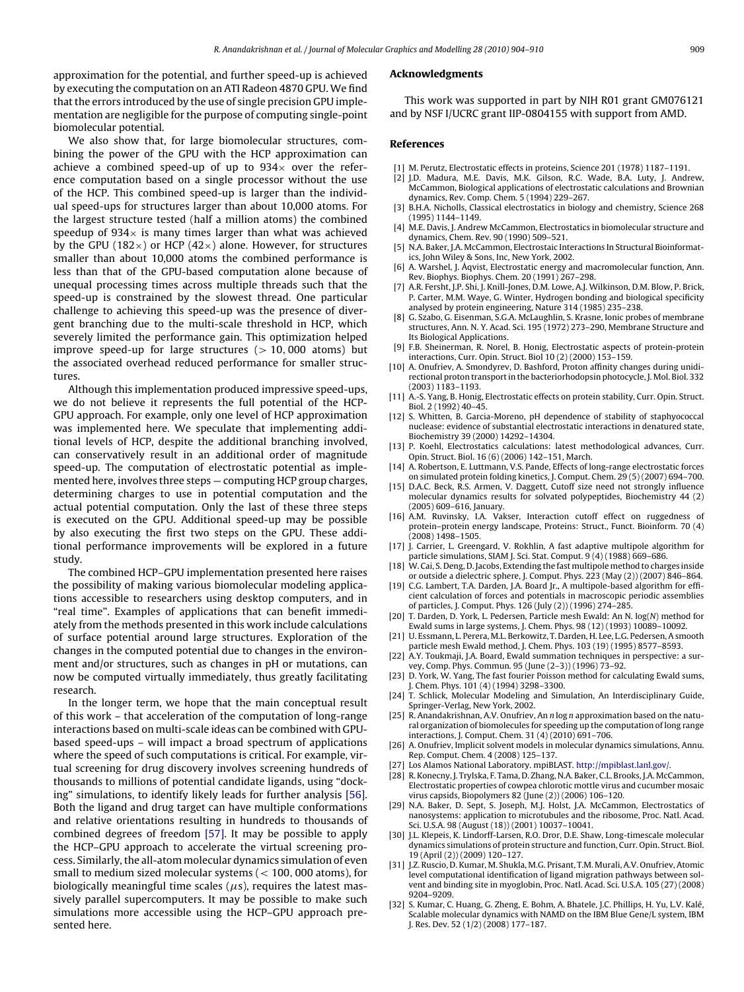<span id="page-5-0"></span>approximation for the potential, and further speed-up is achieved by executing the computation on an ATI Radeon 4870 GPU. We find that the errors introduced by the use of single precision GPU implementation are negligible for the purpose of computing single-point biomolecular potential.

We also show that, for large biomolecular structures, combining the power of the GPU with the HCP approximation can achieve a combined speed-up of up to  $934\times$  over the reference computation based on a single processor without the use of the HCP. This combined speed-up is larger than the individual speed-ups for structures larger than about 10,000 atoms. For the largest structure tested (half a million atoms) the combined speedup of  $934\times$  is many times larger than what was achieved by the GPU (182 $\times$ ) or HCP (42 $\times$ ) alone. However, for structures smaller than about 10,000 atoms the combined performance is less than that of the GPU-based computation alone because of unequal processing times across multiple threads such that the speed-up is constrained by the slowest thread. One particular challenge to achieving this speed-up was the presence of divergent branching due to the multi-scale threshold in HCP, which severely limited the performance gain. This optimization helped improve speed-up for large structures  $(> 10,000$  atoms) but the associated overhead reduced performance for smaller structures.

Although this implementation produced impressive speed-ups, we do not believe it represents the full potential of the HCP-GPU approach. For example, only one level of HCP approximation was implemented here. We speculate that implementing additional levels of HCP, despite the additional branching involved, can conservatively result in an additional order of magnitude speed-up. The computation of electrostatic potential as implemented here, involves three steps — computing HCP group charges, determining charges to use in potential computation and the actual potential computation. Only the last of these three steps is executed on the GPU. Additional speed-up may be possible by also executing the first two steps on the GPU. These additional performance improvements will be explored in a future study.

The combined HCP–GPU implementation presented here raises the possibility of making various biomolecular modeling applications accessible to researchers using desktop computers, and in "real time". Examples of applications that can benefit immediately from the methods presented in this work include calculations of surface potential around large structures. Exploration of the changes in the computed potential due to changes in the environment and/or structures, such as changes in pH or mutations, can now be computed virtually immediately, thus greatly facilitating research.

In the longer term, we hope that the main conceptual result of this work – that acceleration of the computation of long-range interactions based on multi-scale ideas can be combined with GPUbased speed-ups – will impact a broad spectrum of applications where the speed of such computations is critical. For example, virtual screening for drug discovery involves screening hundreds of thousands to millions of potential candidate ligands, using "docking" simulations, to identify likely leads for further analysis [\[56\].](#page-6-0) Both the ligand and drug target can have multiple conformations and relative orientations resulting in hundreds to thousands of combined degrees of freedom [\[57\].](#page-6-0) It may be possible to apply the HCP–GPU approach to accelerate the virtual screening process. Similarly, the all-atom molecular dynamics simulation of even small to medium sized molecular systems (< 100, 000 atoms), for biologically meaningful time scales ( $\mu$ s), requires the latest massively parallel supercomputers. It may be possible to make such simulations more accessible using the HCP–GPU approach presented here.

#### **Acknowledgments**

This work was supported in part by NIH R01 grant GM076121 and by NSF I/UCRC grant IIP-0804155 with support from AMD.

#### **References**

- [1] M. Perutz, Electrostatic effects in proteins, Science 201 (1978) 1187–1191.
- [2] J.D. Madura, M.E. Davis, M.K. Gilson, R.C. Wade, B.A. Luty, J. Andrew, McCammon, Biological applications of electrostatic calculations and Brownian dynamics, Rev. Comp. Chem. 5 (1994) 229–267.
- [3] B.H.A. Nicholls, Classical electrostatics in biology and chemistry, Science 268 (1995) 1144–1149.
- [4] M.E. Davis, J. Andrew McCammon, Electrostatics in biomolecular structure and dynamics, Chem. Rev. 90 (1990) 509–521.
- [5] N.A. Baker, J.A. McCammon, Electrostaic Interactions In Structural Bioinformatics, John Wiley & Sons, Inc, New York, 2002.
- [6] A. Warshel, J. Åqvist, Electrostatic energy and macromolecular function, Ann. Rev. Biophys. Biophys. Chem. 20 (1991) 267–298.
- [7] A.R. Fersht, J.P. Shi, J. Knill-Jones, D.M. Lowe, A.J. Wilkinson, D.M. Blow, P. Brick, P. Carter, M.M. Waye, G. Winter, Hydrogen bonding and biological specificity analysed by protein engineering, Nature 314 (1985) 235–238.
- [8] G. Szabo, G. Eisenman, S.G.A. McLaughlin, S. Krasne, Ionic probes of membrane structures, Ann. N. Y. Acad. Sci. 195 (1972) 273–290, Membrane Structure and Its Biological Applications.
- [9] F.B. Sheinerman, R. Norel, B. Honig, Electrostatic aspects of protein-protein interactions, Curr. Opin. Struct. Biol 10 (2) (2000) 153–159.
- [10] A. Onufriev, A. Smondyrev, D. Bashford, Proton affinity changes during unidirectional proton transport in the bacteriorhodopsin photocycle, J. Mol. Biol. 332 (2003) 1183–1193.
- [11] A.-S. Yang, B. Honig, Electrostatic effects on protein stability, Curr. Opin. Struct. Biol. 2 (1992) 40–45.
- [12] S. Whitten, B. Garcia-Moreno, pH dependence of stability of staphyococcal nuclease: evidence of substantial electrostatic interactions in denatured state, Biochemistry 39 (2000) 14292–14304.
- [13] P. Koehl, Electrostatics calculations: latest methodological advances, Curr. Opin. Struct. Biol. 16 (6) (2006) 142–151, March.
- [14] A. Robertson, E. Luttmann, V.S. Pande, Effects of long-range electrostatic forces on simulated protein folding kinetics, J. Comput. Chem. 29 (5) (2007) 694–700.
- [15] D.A.C. Beck, R.S. Armen, V. Daggett, Cutoff size need not strongly influence molecular dynamics results for solvated polypeptides, Biochemistry 44 (2) (2005) 609–616, January.
- [16] A.M. Ruvinsky, I.A. Vakser, Interaction cutoff effect on ruggedness of protein–protein energy landscape, Proteins: Struct., Funct. Bioinform. 70 (4) (2008) 1498–1505.
- [17] J. Carrier, L. Greengard, V. Rokhlin, A fast adaptive multipole algorithm for particle simulations, SIAM J. Sci. Stat. Comput. 9 (4) (1988) 669–686.
- [18] W. Cai, S. Deng, D. Jacobs, Extending the fast multipole method to charges inside or outside a dielectric sphere, J. Comput. Phys. 223 (May (2)) (2007) 846–864.
- [19] C.G. Lambert, T.A. Darden, J.A. Board Jr., A multipole-based algorithm for efficient calculation of forces and potentials in macroscopic periodic assemblies of particles, J. Comput. Phys. 126 (July (2)) (1996) 274–285.
- [20] T. Darden, D. York, L. Pedersen, Particle mesh Ewald: An N. log(N) method for Ewald sums in large systems, J. Chem. Phys. 98 (12) (1993) 10089–10092.
- [21] U. Essmann, L. Perera, M.L. Berkowitz, T. Darden, H. Lee, L.G. Pedersen, A smooth particle mesh Ewald method, J. Chem. Phys. 103 (19) (1995) 8577–8593.
- [22] A.Y. Toukmaji, J.A. Board, Ewald summation techniques in perspective: a survey, Comp. Phys. Commun. 95 (June (2–3)) (1996) 73–92.
- [23] D. York, W. Yang, The fast fourier Poisson method for calculating Ewald sums, J. Chem. Phys. 101 (4) (1994) 3298–3300.
- [24] T. Schlick, Molecular Modeling and Simulation, An Interdisciplinary Guide, Springer-Verlag, New York, 2002.
- [25] R. Anandakrishnan, A.V. Onufriev, An n log n approximation based on the natural organization of biomolecules for speeding up the computation of long range interactions, J. Comput. Chem. 31 (4) (2010) 691–706.
- [26] A. Onufriev, Implicit solvent models in molecular dynamics simulations, Annu. Rep. Comput. Chem. 4 (2008) 125–137.
- [27] Los Alamos National Laboratory. mpiBLAST. [http://mpiblast.lanl.gov/.](http://mpiblast.lanl.gov/)
- [28] R. Konecny, J. Trylska, F. Tama, D. Zhang, N.A. Baker, C.L. Brooks, J.A. McCammon, Electrostatic properties of cowpea chlorotic mottle virus and cucumber mosaic virus capsids, Biopolymers 82 (June (2)) (2006) 106–120.
- [29] N.A. Baker, D. Sept, S. Joseph, M.J. Holst, J.A. McCammon, Electrostatics of nanosystems: application to microtubules and the ribosome, Proc. Natl. Acad. Sci. U.S.A. 98 (August (18)) (2001) 10037–10041.
- [30] J.L. Klepeis, K. Lindorff-Larsen, R.O. Dror, D.E. Shaw, Long-timescale molecular dynamics simulations of protein structure and function, Curr. Opin. Struct. Biol. 19 (April (2)) (2009) 120–127.
- [31] J.Z. Ruscio, D. Kumar, M. Shukla, M.G. Prisant, T.M. Murali, A.V. Onufriev, Atomic level computational identification of ligand migration pathways between solvent and binding site in myoglobin, Proc. Natl. Acad. Sci. U.S.A. 105 (27) (2008) 9204–9209.
- [32] S. Kumar, C. Huang, G. Zheng, E. Bohm, A. Bhatele, J.C. Phillips, H. Yu, L.V. Kalé, Scalable molecular dynamics with NAMD on the IBM Blue Gene/L system, IBM J. Res. Dev. 52 (1/2) (2008) 177–187.